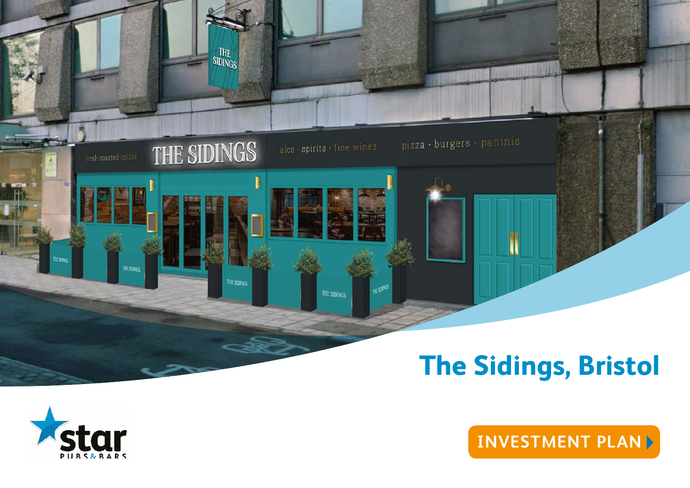



**[INVESTMENT PLAN](#page-1-0)**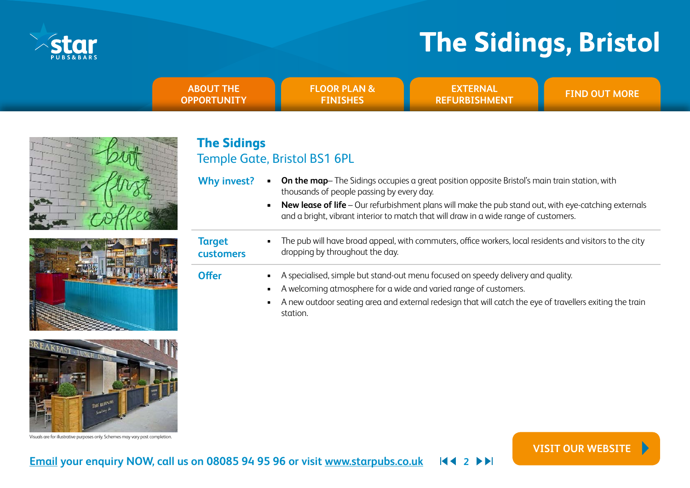<span id="page-1-0"></span>

**[VISIT OUR WEBSITE](https://www.starpubs.co.uk/pubs/centurion-waterlooville)**

| <b>ABOUT THE</b><br><b>OPPORTUNITY</b> | <b>FLOOR PLAN &amp;</b><br><b>FINISHES</b> | <b>\EXTERNAL</b><br><b>REFURBISHMENT</b> | <b>FIND OUT MORE</b> |
|----------------------------------------|--------------------------------------------|------------------------------------------|----------------------|
|                                        |                                            |                                          |                      |



### **The Sidings** Temple Gate, Bristol BS1 6PL

- **Why invest? • On the map** The Sidings occupies a great position opposite Bristol's main train station, with thousands of people passing by every day.
	- **• New lease of life** Our refurbishment plans will make the pub stand out, with eye-catching externals and a bright, vibrant interior to match that will draw in a wide range of customers.



|                            | and a bright, vibrant interior to match that will draw in a wide range of customers.                                                                                                                                                                                                                                                 |
|----------------------------|--------------------------------------------------------------------------------------------------------------------------------------------------------------------------------------------------------------------------------------------------------------------------------------------------------------------------------------|
| <b>Target</b><br>customers | The pub will have broad appeal, with commuters, office workers, local residents and visitors to the city<br>$\blacksquare$<br>dropping by throughout the day.                                                                                                                                                                        |
| <b>Offer</b>               | A specialised, simple but stand-out menu focused on speedy delivery and quality.<br>$\blacksquare$ .<br>A welcoming atmosphere for a wide and varied range of customers.<br>$\blacksquare$<br>A new outdoor seating area and external redesign that will catch the eye of travellers exiting the train<br>$\blacksquare$<br>station. |



Visuals are for illustrative purposes only. Schemes may vary post completion.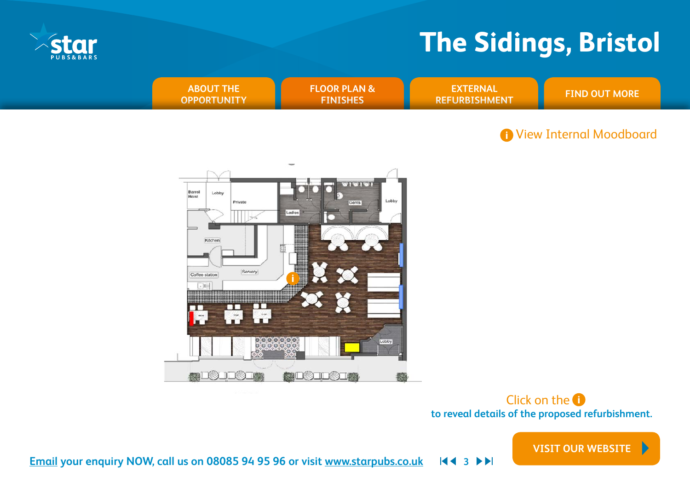<span id="page-2-0"></span>

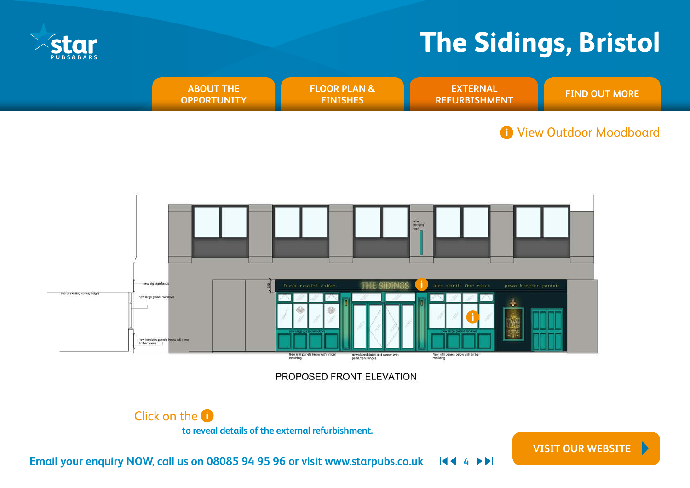**[VISIT OUR WEBSITE](https://www.starpubs.co.uk/pubs/centurion-waterlooville)**

<span id="page-3-0"></span>



**to reveal details of the external refurbishment.**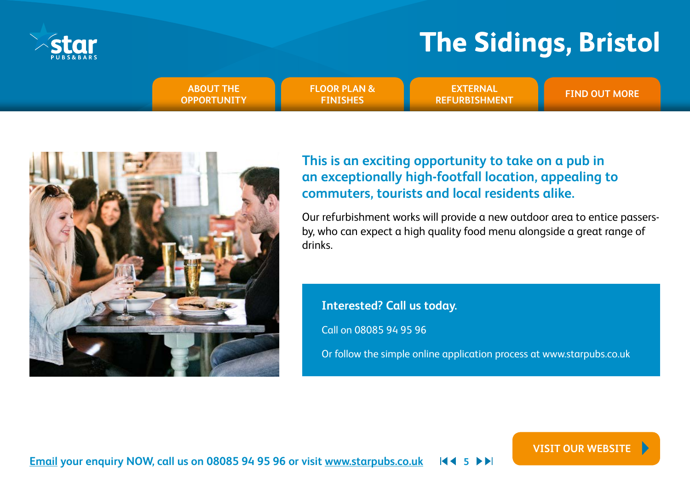<span id="page-4-0"></span>

**EXTERNAL ABOUT THE READ ABOUT THE READ ASSESSED ASSOCIATE READ ABOUT MORE [OPPORTUNITY](#page-1-0) [FLOOR PLAN &](#page-2-0)  FINISHES**

**EXTERNAL [REFURBISHMENT](#page-3-0)**

**[VISIT OUR WEBSITE](https://www.starpubs.co.uk/pubs/centurion-waterlooville)**



## **This is an exciting opportunity to take on a pub in an exceptionally high-footfall location, appealing to commuters, tourists and local residents alike.**

Our refurbishment works will provide a new outdoor area to entice passersby, who can expect a high quality food menu alongside a great range of drinks.

**Interested? Call us today.**

Call on 08085 94 95 96

Or follow the simple online application process at [www.starpubs.co.uk](http://www.starpubs.co.uk)